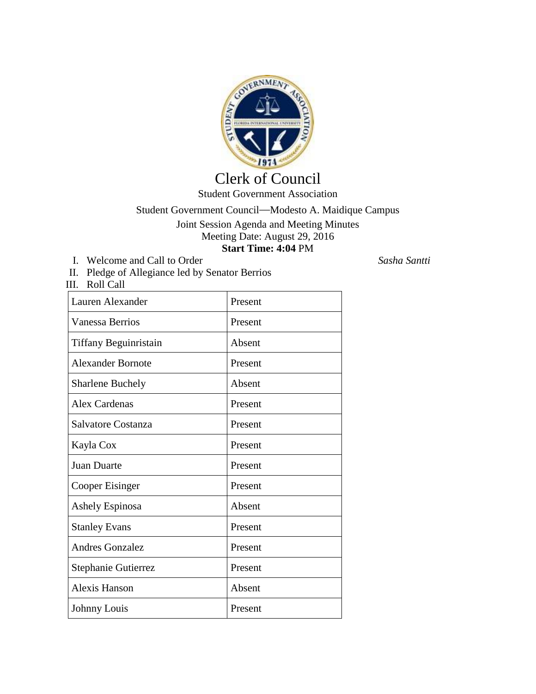

## Clerk of Council Student Government Association

## Student Government Council—Modesto A. Maidique Campus Joint Session Agenda and Meeting Minutes Meeting Date: August 29, 2016 **Start Time: 4:04** PM

I. Welcome and Call to Order *Sasha Santti*

- II. Pledge of Allegiance led by Senator Berrios
- III. Roll Call

| Lauren Alexander         | Present |
|--------------------------|---------|
| <b>Vanessa Berrios</b>   | Present |
| Tiffany Beguinristain    | Absent  |
| <b>Alexander Bornote</b> | Present |
| <b>Sharlene Buchely</b>  | Absent  |
| <b>Alex Cardenas</b>     | Present |
| Salvatore Costanza       | Present |
| Kayla Cox                | Present |
| <b>Juan Duarte</b>       | Present |
| Cooper Eisinger          | Present |
| Ashely Espinosa          | Absent  |
| <b>Stanley Evans</b>     | Present |
| <b>Andres Gonzalez</b>   | Present |
| Stephanie Gutierrez      | Present |
| Alexis Hanson            | Absent  |
| Johnny Louis             | Present |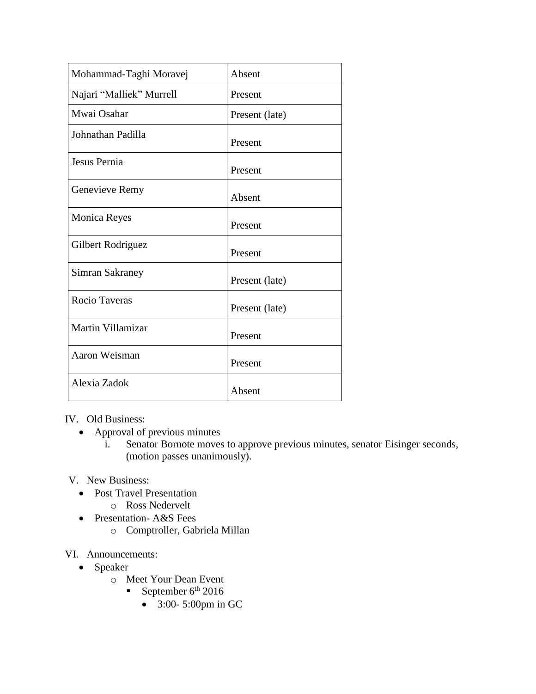| Mohammad-Taghi Moravej   | Absent         |
|--------------------------|----------------|
| Najari "Malliek" Murrell | Present        |
| Mwai Osahar              | Present (late) |
| Johnathan Padilla        | Present        |
| Jesus Pernia             | Present        |
| Genevieve Remy           | Absent         |
| <b>Monica Reyes</b>      | Present        |
| Gilbert Rodriguez        | Present        |
| Simran Sakraney          | Present (late) |
| Rocio Taveras            | Present (late) |
| Martin Villamizar        | Present        |
| Aaron Weisman            | Present        |
| Alexia Zadok             | Absent         |

IV. Old Business:

- Approval of previous minutes
	- i. Senator Bornote moves to approve previous minutes, senator Eisinger seconds, (motion passes unanimously).

## V. New Business:

- Post Travel Presentation
	- o Ross Nedervelt
- Presentation-A&S Fees
	- o Comptroller, Gabriela Millan

## VI. Announcements:

- Speaker
	- o Meet Your Dean Event
		- September  $6^{\text{th}}$  2016
			- 3:00- 5:00pm in GC